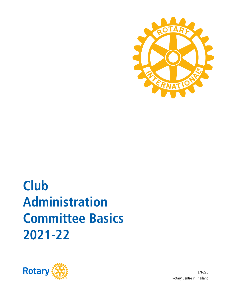

# **2021-22 Committee Basics Administration Club**



EN-220 Rotary Centre in Thailand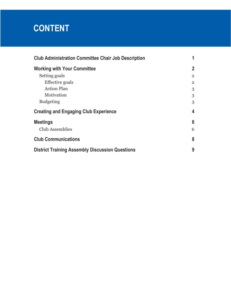# **CONTENT**

| <b>Club Administration Committee Chair Job Description</b> |                |
|------------------------------------------------------------|----------------|
| <b>Working with Your Committee</b>                         | $\overline{2}$ |
| Setting goals                                              | $\overline{2}$ |
| Effective goals                                            | $\overline{2}$ |
| <b>Action Plan</b>                                         | 3              |
| Motivation                                                 | 3              |
| <b>Budgeting</b>                                           | 3              |
| <b>Creating and Engaging Club Experience</b>               | 4              |
| <b>Meetings</b>                                            | 6              |
| <b>Club Assemblies</b>                                     | 6              |
| <b>Club Communications</b>                                 | 8              |
| <b>District Training Assembly Discussion Questions</b>     | 9              |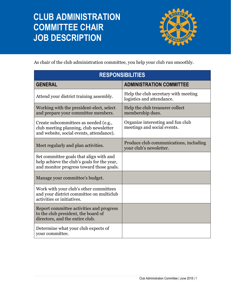# **CLUB ADMINISTRATION COMMITTEE CHAIR JOB DESCRIPTION**



As chair of the club administration committee, you help your club run smoothly.

| <b>RESPONSIBILITIES</b>                                                                                                            |                                                                   |  |
|------------------------------------------------------------------------------------------------------------------------------------|-------------------------------------------------------------------|--|
| <b>GENERAL</b>                                                                                                                     | <b>ADMINISTRATION COMMITTEE</b>                                   |  |
| Attend your district training assembly.                                                                                            | Help the club secretary with meeting<br>logistics and attendance. |  |
| Working with the president-elect, select<br>and prepare your committee members.                                                    | Help the club treasurer collect<br>membership dues.               |  |
| Create subcommittees as needed (e.g.,<br>club meeting planning, club newsletter<br>and website, social events, attendance).        | Organize interesting and fun club<br>meetings and social events.  |  |
| Meet regularly and plan activities.                                                                                                | Produce club communications, including<br>your club's newsletter. |  |
| Set committee goals that align with and<br>help achieve the club's goals for the year,<br>and monitor progress toward those goals. |                                                                   |  |
| Manage your committee's budget.                                                                                                    |                                                                   |  |
| Work with your club's other committees<br>and your district committee on multiclub<br>activities or initiatives.                   |                                                                   |  |
| Report committee activities and progress<br>to the club president, the board of<br>directors, and the entire club.                 |                                                                   |  |
| Determine what your club expects of<br>your committee.                                                                             |                                                                   |  |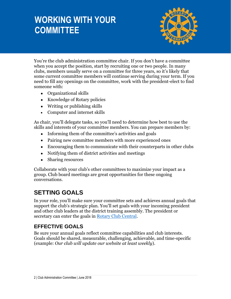# **WORKING WITH YOUR COMMITTEE**



You're the club administration committee chair. If you don't have a committee when you accept the position, start by recruiting one or two people. In many clubs, members usually serve on a committee for three years, so it's likely that some current committee members will continue serving during your term. If you need to fill any openings on the committee, work with the president-elect to find someone with:

- Organizational skills
- Knowledge of Rotary policies
- Writing or publishing skills
- Computer and internet skills

As chair, you'll delegate tasks, so you'll need to determine how best to use the skills and interests of your committee members. You can prepare members by:

- Informing them of the committee's activities and goals
- Pairing new committee members with more experienced ones
- Encouraging them to communicate with their counterparts in other clubs
- Notifying them of district activities and meetings
- Sharing resources

Collaborate with your club's other committees to maximize your impact as a group. Club board meetings are great opportunities for these ongoing conversations.

### **SETTING GOALS**

In your role, you'll make sure your committee sets and achieves annual goals that support the club's strategic plan. You'll set goals with your incoming president and other club leaders at the district training assembly. The president or secretary can enter the goals in [Rotary Club Central.](http://www.rotary.org/clubcentral)

### **EFFECTIVE GOALS**

Be sure your annual goals reflect committee capabilities and club interests. Goals should be shared, measurable, challenging, achievable, and time-specific (example: *Our club will update our website at least weekly*)*.*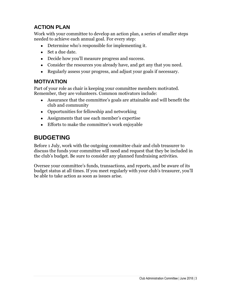### **ACTION PLAN**

Work with your committee to develop an action plan, a series of smaller steps needed to achieve each annual goal. For every step:

- Determine who's responsible for implementing it.
- Set a due date.
- Decide how you'll measure progress and success.
- Consider the resources you already have, and get any that you need.
- Regularly assess your progress, and adjust your goals if necessary.

#### **MOTIVATION**

Part of your role as chair is keeping your committee members motivated. Remember, they are volunteers. Common motivators include:

- Assurance that the committee's goals are attainable and will benefit the club and community
- Opportunities for fellowship and networking
- Assignments that use each member's expertise
- Efforts to make the committee's work enjoyable

### **BUDGETING**

Before 1 July, work with the outgoing committee chair and club treasurer to discuss the funds your committee will need and request that they be included in the club's budget. Be sure to consider any planned fundraising activities.

Oversee your committee's funds, transactions, and reports, and be aware of its budget status at all times. If you meet regularly with your club's treasurer, you'll be able to take action as soon as issues arise.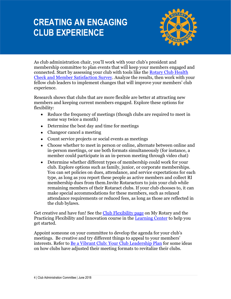# **CREATING AN ENGAGING CLUB EXPERIENCE**



As club administration chair, you'll work with your club's president and membership committee to plan events that will keep your members engaged and connected. Start by assessing your club with tools like the [Rotary Club Health](https://my.rotary.org/en/document/rotary-club-health-check)  [Check](https://my.rotary.org/en/document/rotary-club-health-check) and [Member Satisfaction Survey.](https://my.rotary.org/en/document/enhancing-club-experience-member-satisfaction-survey) Analyze the results, then work with your fellow club leaders to implement changes that will improve your members' club experience.

Research shows that clubs that are more flexible are better at attracting new members and keeping current members engaged. Explore these options for flexibility:

- Reduce the frequency of meetings (though clubs are required to meet in some way twice a month)
- Determine the best day and time for meetings
- Changeor cancel a meeting
- Count service projects or social events as meetings
- Choose whether to meet in person or online, alternate between online and in-person meetings, or use both formats simultaneously (for instance, a member could participate in an in-person meeting through video chat)
- Determine whether different types of membership could work for your club. Explore options such as family, junior, or corporate memberships. You can set policies on dues, attendance, and service expectations for each type, as long as you report these people as active members and collect RI membership dues from them.Invite Rotaractors to join your club while remaining members of their Rotaract clubs. If your club chooses to, it can make special accommodations for these members, such as relaxed attendance requirements or reduced fees, as long as those are reflected in the club bylaws.

Get creative and have fun! See the [Club Flexibility page](https://my.rotary.org/en/club-flexibility) on My Rotary and the Practicing Flexibility and Innovation course in the [Learning Center](https://my.rotary.org/secure/application/261) to help you get started.

Appoint someone on your committee to develop the agenda for your club's meetings. Be creative and try different things to appeal to your members' interests. Refer to [Be a Vibrant Club: Your Club Leadership Plan](https://www.rotary.org/myrotary/en/learning-reference/learn-topic/membership#bevibrantclub) for some ideas on how clubs have adjusted their meeting formats to revitalize their clubs.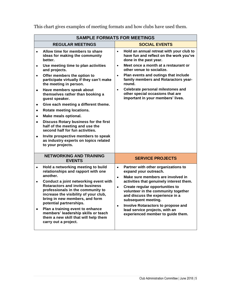| <b>SAMPLE FORMATS FOR MEETINGS</b>                                                                                                                                                                                                                                                                                                                                                 |           |                                                                                                                                                                                                                                                                                                                                  |
|------------------------------------------------------------------------------------------------------------------------------------------------------------------------------------------------------------------------------------------------------------------------------------------------------------------------------------------------------------------------------------|-----------|----------------------------------------------------------------------------------------------------------------------------------------------------------------------------------------------------------------------------------------------------------------------------------------------------------------------------------|
| <b>REGULAR MEETINGS</b>                                                                                                                                                                                                                                                                                                                                                            |           | <b>SOCIAL EVENTS</b>                                                                                                                                                                                                                                                                                                             |
| Allow time for members to share<br>$\bullet$<br>ideas for making the community<br>better.                                                                                                                                                                                                                                                                                          | $\bullet$ | Hold an annual retreat with your club to<br>have fun and reflect on the work you've<br>done in the past year.                                                                                                                                                                                                                    |
| Use meeting time to plan activities<br>and projects.                                                                                                                                                                                                                                                                                                                               | $\bullet$ | Meet once a month at a restaurant or<br>other venue to socialize.                                                                                                                                                                                                                                                                |
| Offer members the option to<br>$\bullet$<br>participate virtually if they can't make<br>the meeting in person.                                                                                                                                                                                                                                                                     |           | Plan events and outings that include<br>family members and Rotaractors year-<br>round.                                                                                                                                                                                                                                           |
| Have members speak about<br>themselves rather than booking a<br>guest speaker.                                                                                                                                                                                                                                                                                                     |           | Celebrate personal milestones and<br>$\bullet$<br>other special occasions that are<br>important in your members' lives.                                                                                                                                                                                                          |
| Give each meeting a different theme.<br>$\bullet$                                                                                                                                                                                                                                                                                                                                  |           |                                                                                                                                                                                                                                                                                                                                  |
| Rotate meeting locations.<br>$\bullet$                                                                                                                                                                                                                                                                                                                                             |           |                                                                                                                                                                                                                                                                                                                                  |
| Make meals optional.<br>$\bullet$                                                                                                                                                                                                                                                                                                                                                  |           |                                                                                                                                                                                                                                                                                                                                  |
| Discuss Rotary business for the first<br>$\bullet$<br>half of the meeting and use the<br>second half for fun activities.                                                                                                                                                                                                                                                           |           |                                                                                                                                                                                                                                                                                                                                  |
| Invite prospective members to speak<br>as industry experts on topics related<br>to your projects.                                                                                                                                                                                                                                                                                  |           |                                                                                                                                                                                                                                                                                                                                  |
| <b>NETWORKING AND TRAINING</b><br><b>EVENTS</b>                                                                                                                                                                                                                                                                                                                                    |           | <b>SERVICE PROJECTS</b>                                                                                                                                                                                                                                                                                                          |
| Hold a networking meeting to build<br>$\bullet$<br>relationships and rapport with one<br>another.                                                                                                                                                                                                                                                                                  |           | Partner with other organizations to<br>$\bullet$<br>expand your outreach.<br>Make sure members are involved in                                                                                                                                                                                                                   |
| Conduct a joint networking event with<br><b>Rotaractors and invite business</b><br>professionals in the community to<br>increase the visibility of your club,<br>bring in new members, and form<br>potential partnerships.<br>Plan a training event to enhance<br>$\bullet$<br>members' leadership skills or teach<br>them a new skill that will help them<br>carry out a project. |           | $\bullet$<br>activities that genuinely interest them.<br>Create regular opportunities to<br>$\bullet$<br>volunteer in the community together<br>and discuss the experience in a<br>subsequent meeting.<br>Involve Rotaractors to propose and<br>$\bullet$<br>lead service projects, with an<br>experienced member to guide them. |

This chart gives examples of meeting formats and how clubs have used them.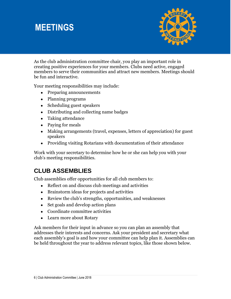### **MEETINGS**



As the club administration committee chair, you play an important role in creating positive experiences for your members. Clubs need active, engaged members to serve their communities and attract new members. Meetings should be fun and interactive.

Your meeting responsibilities may include:

- Preparing announcements
- Planning programs
- Scheduling guest speakers
- Distributing and collecting name badges
- Taking attendance
- Paying for meals
- Making arrangements (travel, expenses, letters of appreciation) for guest speakers
- Providing visiting Rotarians with documentation of their attendance

Work with your secretary to determine how he or she can help you with your club's meeting responsibilities.

### **CLUB ASSEMBLIES**

Club assemblies offer opportunities for all club members to:

- Reflect on and discuss club meetings and activities
- Brainstorm ideas for projects and activities
- Review the club's strengths, opportunities, and weaknesses
- Set goals and develop action plans
- Coordinate committee activities
- Learn more about Rotary

Ask members for their input in advance so you can plan an assembly that addresses their interests and concerns. Ask your president and secretary what each assembly's goal is and how your committee can help plan it. Assemblies can be held throughout the year to address relevant topics, like those shown below.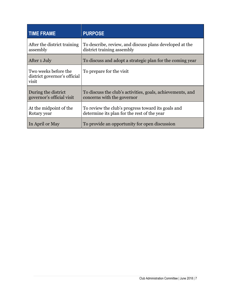| <b>TIME FRAME</b>                                             | <b>PURPOSE</b>                                                                                    |
|---------------------------------------------------------------|---------------------------------------------------------------------------------------------------|
| After the district training<br>assembly                       | To describe, review, and discuss plans developed at the<br>district training assembly             |
| After 1 July                                                  | To discuss and adopt a strategic plan for the coming year                                         |
| Two weeks before the<br>district governor's official<br>visit | To prepare for the visit                                                                          |
| During the district<br>governor's official visit              | To discuss the club's activities, goals, achievements, and<br>concerns with the governor          |
| At the midpoint of the<br>Rotary year                         | To review the club's progress toward its goals and<br>determine its plan for the rest of the year |
| In April or May                                               | To provide an opportunity for open discussion                                                     |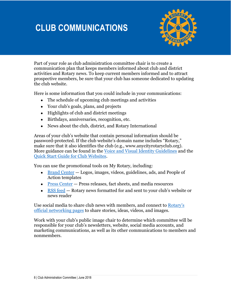# **CLUB COMMUNICATIONS**



Part of your role as club administration committee chair is to create a communication plan that keeps members informed about club and district activities and Rotary news. To keep current members informed and to attract prospective members, be sure that your club has someone dedicated to updating the club website.

Here is some information that you could include in your communications:

- The schedule of upcoming club meetings and activities
- Your club's goals, plans, and projects
- Highlights of club and district meetings
- Birthdays, anniversaries, recognition, etc.
- News about the club, district, and Rotary International

Areas of your club's website that contain personal information should be password-protected. If the club website's domain name includes "Rotary," make sure that it also identifies the club (e.g., www.anycityrotaryclub.org). More guidance can be found in the [Voice and Visual Identity Guidelines](http://www.rotary.org/myrotary/en/document/851) and the [Quick Start Guide for](https://my.rotary.org/en/document/quick-start-guide-club-websites) Club Websites.

You can use the promotional tools on My Rotary, including:

- [Brand Center](https://brandcenter.rotary.org/en-GB)  $-$  Logos, images, videos, guidelines, ads, and People of Action templates
- Press [Center](https://www.rotary.org/en/news-features/media-center) Press releases, fact sheets, and media resources
- [RSS feed](https://www.rotary.org/myrotary/en/manage/tools/rss-feed) Rotary news formatted for and sent to your club's website or news reader

Use social media to share club news with members, and connect to [Rotary's](https://www.rotary.org/en/news-features/social-media)  [official networking pages](https://www.rotary.org/en/news-features/social-media) to share stories, ideas, videos, and images.

Work with your club's public image chair to determine which committee will be responsible for your club's newsletters, website, social media accounts, and marketing communications, as well as its other communications to members and nonmembers.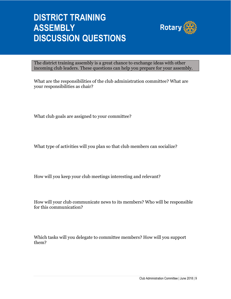# **DISTRICT TRAINING ASSEMBLY DISCUSSION QUESTIONS**



The district training assembly is a great chance to exchange ideas with other incoming club leaders. These questions can help you prepare for your assembly.

What are the responsibilities of the club administration committee? What are your responsibilities as chair?

What club goals are assigned to your committee?

What type of activities will you plan so that club members can socialize?

How will you keep your club meetings interesting and relevant?

How will your club communicate news to its members? Who will be responsible for this communication?

Which tasks will you delegate to committee members? How will you support them?